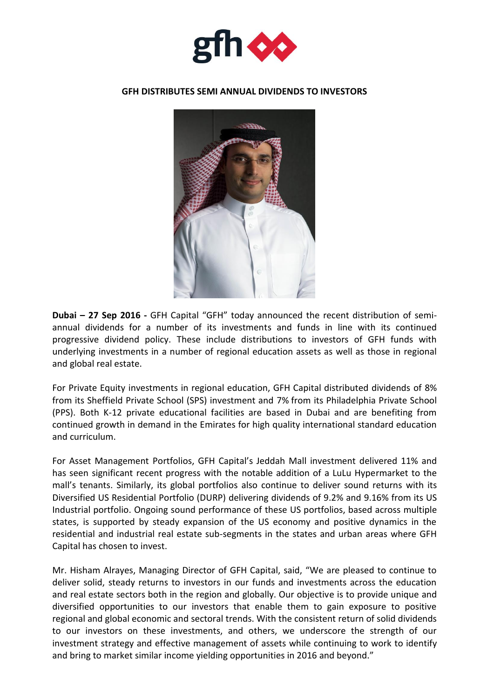

## **GFH DISTRIBUTES SEMI ANNUAL DIVIDENDS TO INVESTORS**



**Dubai – 27 Sep 2016 -** GFH Capital "GFH" today announced the recent distribution of semiannual dividends for a number of its investments and funds in line with its continued progressive dividend policy. These include distributions to investors of GFH funds with underlying investments in a number of regional education assets as well as those in regional and global real estate.

For Private Equity investments in regional education, GFH Capital distributed dividends of 8% from its Sheffield Private School (SPS) investment and 7% from its Philadelphia Private School (PPS). Both K-12 private educational facilities are based in Dubai and are benefiting from continued growth in demand in the Emirates for high quality international standard education and curriculum.

For Asset Management Portfolios, GFH Capital's Jeddah Mall investment delivered 11% and has seen significant recent progress with the notable addition of a LuLu Hypermarket to the mall's tenants. Similarly, its global portfolios also continue to deliver sound returns with its Diversified US Residential Portfolio (DURP) delivering dividends of 9.2% and 9.16% from its US Industrial portfolio. Ongoing sound performance of these US portfolios, based across multiple states, is supported by steady expansion of the US economy and positive dynamics in the residential and industrial real estate sub-segments in the states and urban areas where GFH Capital has chosen to invest.

Mr. Hisham Alrayes, Managing Director of GFH Capital, said, "We are pleased to continue to deliver solid, steady returns to investors in our funds and investments across the education and real estate sectors both in the region and globally. Our objective is to provide unique and diversified opportunities to our investors that enable them to gain exposure to positive regional and global economic and sectoral trends. With the consistent return of solid dividends to our investors on these investments, and others, we underscore the strength of our investment strategy and effective management of assets while continuing to work to identify and bring to market similar income yielding opportunities in 2016 and beyond."